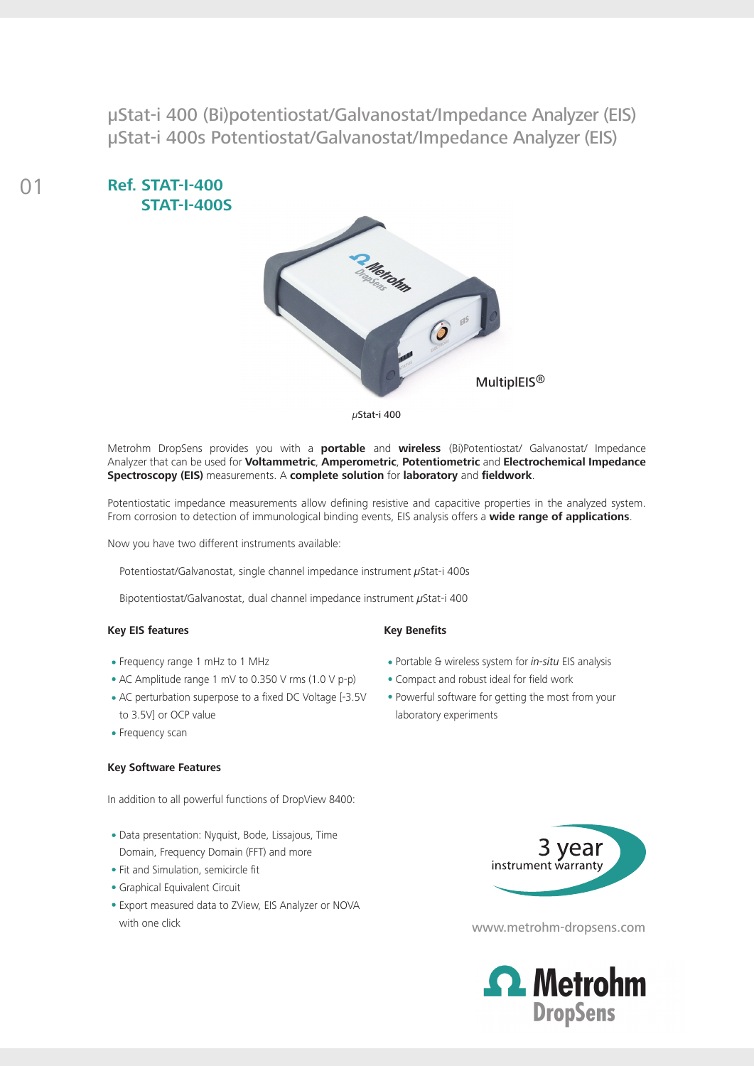µStat-i 400 (Bi)potentiostat/Galvanostat/Impedance Analyzer (EIS) µStat-i 400s Potentiostat/Galvanostat/Impedance Analyzer (EIS)





*µ*Stat-i 400

Metrohm DropSens provides you with a **portable** and **wireless** (Bi)Potentiostat/ Galvanostat/ Impedance Analyzer that can be used for **Voltammetric**, **Amperometric**, **Potentiometric** and **Electrochemical Impedance Spectroscopy (EIS)** measurements. A **complete solution** for **laboratory** and **fieldwork**.

Potentiostatic impedance measurements allow defining resistive and capacitive properties in the analyzed system. From corrosion to detection of immunological binding events, EIS analysis offers a **wide range of applications**.

Now you have two different instruments available:

Potentiostat/Galvanostat, single channel impedance instrument *µ*Stat-i 400s

Bipotentiostat/Galvanostat, dual channel impedance instrument *µ*Stat-i 400

### **Key EIS features**

- Frequency range 1 mHz to 1 MHz
- AC Amplitude range 1 mV to 0.350 V rms (1.0 V p-p)
- AC perturbation superpose to a fixed DC Voltage [-3.5V to 3.5V] or OCP value
- Frequency scan

#### **Key Software Features**

In addition to all powerful functions of DropView 8400:

- Data presentation: Nyquist, Bode, Lissajous, Time Domain, Frequency Domain (FFT) and more
- Fit and Simulation, semicircle fit
- Graphical Equivalent Circuit
- Export measured data to ZView, EIS Analyzer or NOVA with one click with one click

### **Key Benefits**

- Portable & wireless system for *in-situ* EIS analysis
- Compact and robust ideal for field work
- Powerful software for getting the most from your laboratory experiments